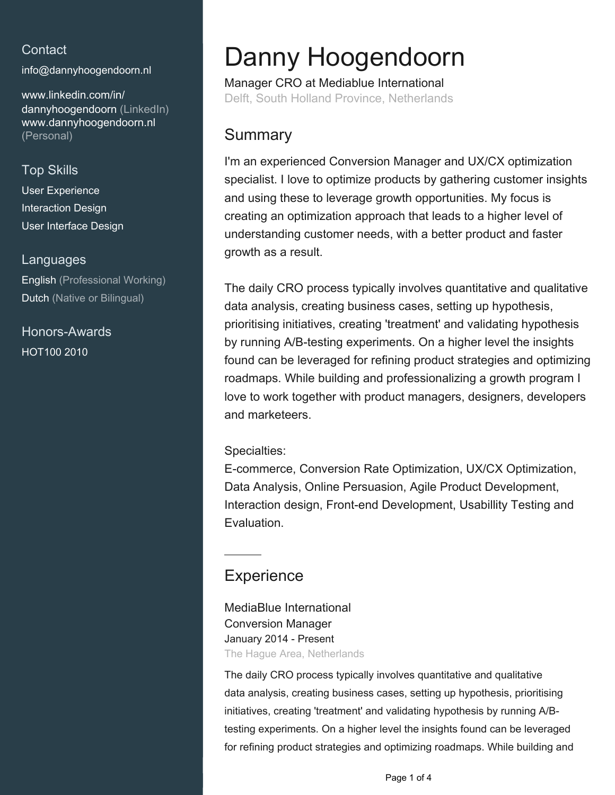## **Contact**

[info@dannyhoogendoorn.nl](mailto:info@dannyhoogendoorn.nl)

[www.linkedin.com/in/](https://www.linkedin.com/in/dannyhoogendoorn?jobid=1234&lipi=urn%3Ali%3Apage%3Ad_jobs_easyapply_pdfgenresume%3BHeXRlUYfTiKK%2FHk5nvD%2FJg%3D%3D&licu=urn%3Ali%3Acontrol%3Ad_jobs_easyapply_pdfgenresume-v02_profile) [dannyhoogendoorn \(LinkedIn\)](https://www.linkedin.com/in/dannyhoogendoorn?jobid=1234&lipi=urn%3Ali%3Apage%3Ad_jobs_easyapply_pdfgenresume%3BHeXRlUYfTiKK%2FHk5nvD%2FJg%3D%3D&licu=urn%3Ali%3Acontrol%3Ad_jobs_easyapply_pdfgenresume-v02_profile) [www.dannyhoogendoorn.nl](http://www.dannyhoogendoorn.nl) [\(Personal\)](http://www.dannyhoogendoorn.nl)

### Top Skills

User Experience Interaction Design User Interface Design

#### Languages

English (Professional Working) Dutch (Native or Bilingual)

Honors-Awards HOT100 2010

# Danny Hoogendoorn

Manager CRO at Mediablue International Delft, South Holland Province, Netherlands

## **Summary**

I'm an experienced Conversion Manager and UX/CX optimization specialist. I love to optimize products by gathering customer insights and using these to leverage growth opportunities. My focus is creating an optimization approach that leads to a higher level of understanding customer needs, with a better product and faster growth as a result.

The daily CRO process typically involves quantitative and qualitative data analysis, creating business cases, setting up hypothesis, prioritising initiatives, creating 'treatment' and validating hypothesis by running A/B-testing experiments. On a higher level the insights found can be leveraged for refining product strategies and optimizing roadmaps. While building and professionalizing a growth program I love to work together with product managers, designers, developers and marketeers.

#### Specialties:

E-commerce, Conversion Rate Optimization, UX/CX Optimization, Data Analysis, Online Persuasion, Agile Product Development, Interaction design, Front-end Development, Usabillity Testing and Evaluation.

## **Experience**

MediaBlue International Conversion Manager January 2014 - Present The Hague Area, Netherlands

The daily CRO process typically involves quantitative and qualitative data analysis, creating business cases, setting up hypothesis, prioritising initiatives, creating 'treatment' and validating hypothesis by running A/Btesting experiments. On a higher level the insights found can be leveraged for refining product strategies and optimizing roadmaps. While building and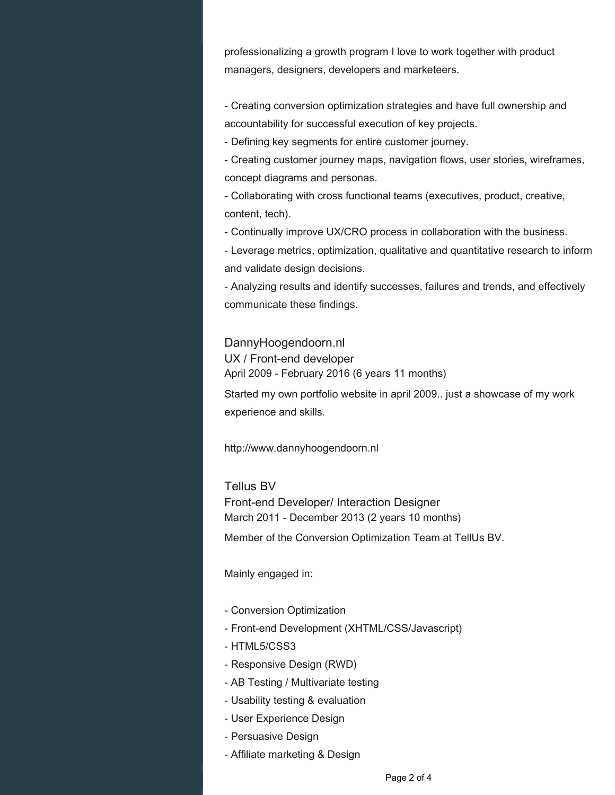professionalizing a growth program I love to work together with product managers, designers, developers and marketeers.

- Creating conversion optimization strategies and have full ownership and accountability for successful execution of key projects.

- Defining key segments for entire customer journey.

- Creating customer journey maps, navigation flows, user stories, wireframes, concept diagrams and personas.

- Collaborating with cross functional teams (executives, product, creative, content, tech).

- Continually improve UX/CRO process in collaboration with the business.

- Leverage metrics, optimization, qualitative and quantitative research to inform and validate design decisions.

- Analyzing results and identify successes, failures and trends, and effectively communicate these findings.

DannyHoogendoorn.nl UX / Front-end developer April 2009 - February 2016 (6 years 11 months)

Started my own portfolio website in april 2009.. just a showcase of my work experience and skills.

http://www.dannyhoogendoorn.nl

Tellus BV Front-end Developer/ Interaction Designer March 2011 - December 2013 (2 years 10 months)

Member of the Conversion Optimization Team at TellUs BV.

Mainly engaged in:

- Conversion Optimization
- Front-end Development (XHTML/CSS/Javascript)
- HTML5/CSS3
- Responsive Design (RWD)
- AB Testing / Multivariate testing
- Usability testing & evaluation
- User Experience Design
- Persuasive Design
- Affiliate marketing & Design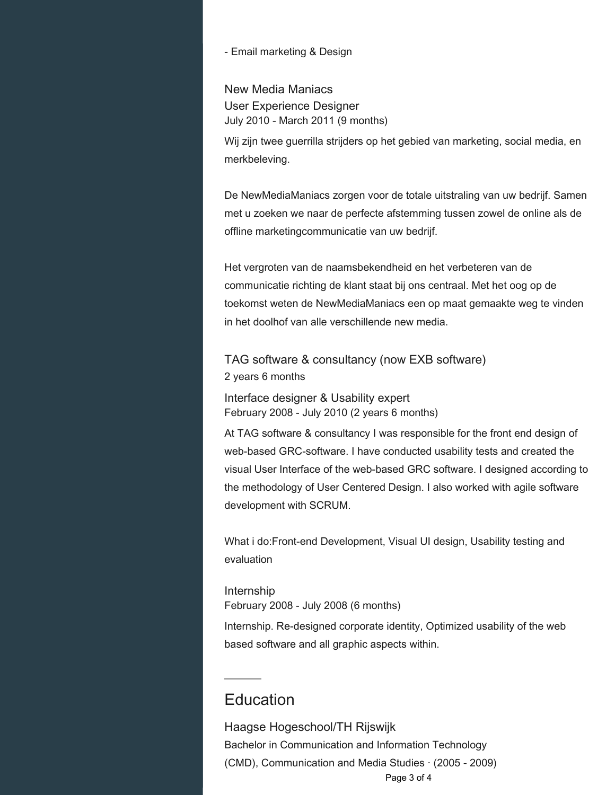#### - Email marketing & Design

New Media Maniacs User Experience Designer July 2010 - March 2011 (9 months)

Wij zijn twee guerrilla strijders op het gebied van marketing, social media, en merkbeleving.

De NewMediaManiacs zorgen voor de totale uitstraling van uw bedrijf. Samen met u zoeken we naar de perfecte afstemming tussen zowel de online als de offline marketingcommunicatie van uw bedrijf.

Het vergroten van de naamsbekendheid en het verbeteren van de communicatie richting de klant staat bij ons centraal. Met het oog op de toekomst weten de NewMediaManiacs een op maat gemaakte weg te vinden in het doolhof van alle verschillende new media.

TAG software & consultancy (now EXB software) 2 years 6 months

Interface designer & Usability expert February 2008 - July 2010 (2 years 6 months)

At TAG software & consultancy I was responsible for the front end design of web-based GRC-software. I have conducted usability tests and created the visual User Interface of the web-based GRC software. I designed according to the methodology of User Centered Design. I also worked with agile software development with SCRUM.

What i do:Front-end Development, Visual UI design, Usability testing and evaluation

Internship February 2008 - July 2008 (6 months)

Internship. Re-designed corporate identity, Optimized usability of the web based software and all graphic aspects within.

## **Education**

Haagse Hogeschool/TH Rijswijk Bachelor in Communication and Information Technology (CMD), Communication and Media Studies · (2005 - 2009) Page 3 of 4